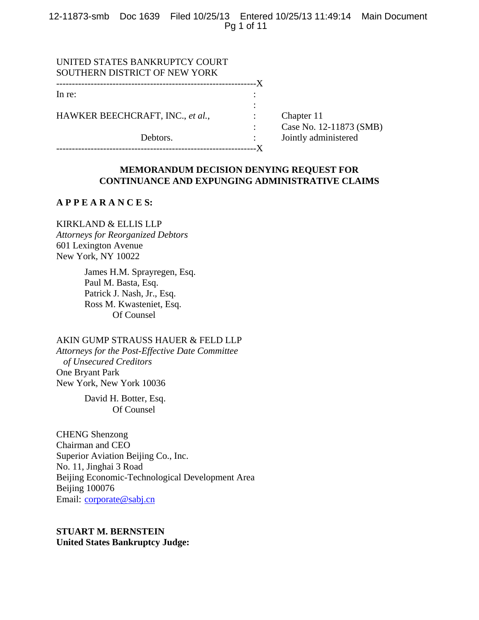12-11873-smb Doc 1639 Filed 10/25/13 Entered 10/25/13 11:49:14 Main Document Pg 1 of 11

| Chapter 11              |
|-------------------------|
| Case No. 12-11873 (SMB) |
| Jointly administered    |
|                         |
| ----X                   |

# **MEMORANDUM DECISION DENYING REQUEST FOR CONTINUANCE AND EXPUNGING ADMINISTRATIVE CLAIMS**

# **A P P E A R A N C E S:**

KIRKLAND & ELLIS LLP *Attorneys for Reorganized Debtors*  601 Lexington Avenue New York, NY 10022

> James H.M. Sprayregen, Esq. Paul M. Basta, Esq. Patrick J. Nash, Jr., Esq. Ross M. Kwasteniet, Esq. Of Counsel

AKIN GUMP STRAUSS HAUER & FELD LLP

*Attorneys for the Post-Effective Date Committee of Unsecured Creditors* One Bryant Park New York, New York 10036

> David H. Botter, Esq. Of Counsel

CHENG Shenzong Chairman and CEO Superior Aviation Beijing Co., Inc. No. 11, Jinghai 3 Road Beijing Economic-Technological Development Area Beijing 100076 Email: corporate@sabj.cn

# **STUART M. BERNSTEIN United States Bankruptcy Judge:**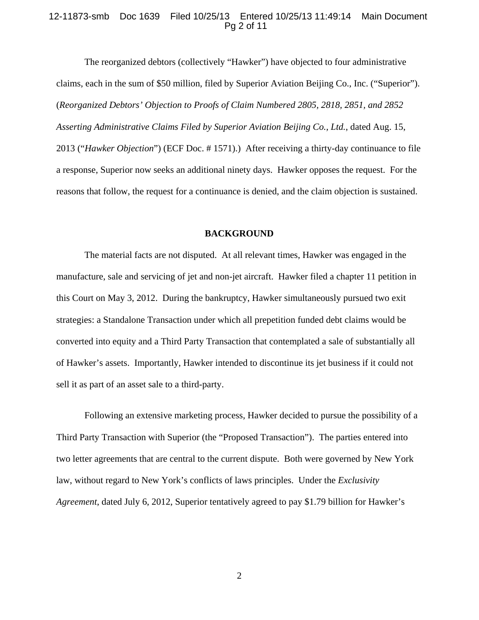### 12-11873-smb Doc 1639 Filed 10/25/13 Entered 10/25/13 11:49:14 Main Document Pg 2 of 11

 The reorganized debtors (collectively "Hawker") have objected to four administrative claims, each in the sum of \$50 million, filed by Superior Aviation Beijing Co., Inc. ("Superior"). (*Reorganized Debtors' Objection to Proofs of Claim Numbered 2805, 2818, 2851, and 2852 Asserting Administrative Claims Filed by Superior Aviation Beijing Co., Ltd.*, dated Aug. 15, 2013 ("*Hawker Objection*") (ECF Doc. # 1571).) After receiving a thirty-day continuance to file a response, Superior now seeks an additional ninety days. Hawker opposes the request. For the reasons that follow, the request for a continuance is denied, and the claim objection is sustained.

#### **BACKGROUND**

 The material facts are not disputed. At all relevant times, Hawker was engaged in the manufacture, sale and servicing of jet and non-jet aircraft. Hawker filed a chapter 11 petition in this Court on May 3, 2012. During the bankruptcy, Hawker simultaneously pursued two exit strategies: a Standalone Transaction under which all prepetition funded debt claims would be converted into equity and a Third Party Transaction that contemplated a sale of substantially all of Hawker's assets. Importantly, Hawker intended to discontinue its jet business if it could not sell it as part of an asset sale to a third-party.

 Following an extensive marketing process, Hawker decided to pursue the possibility of a Third Party Transaction with Superior (the "Proposed Transaction"). The parties entered into two letter agreements that are central to the current dispute. Both were governed by New York law, without regard to New York's conflicts of laws principles. Under the *Exclusivity Agreement*, dated July 6, 2012, Superior tentatively agreed to pay \$1.79 billion for Hawker's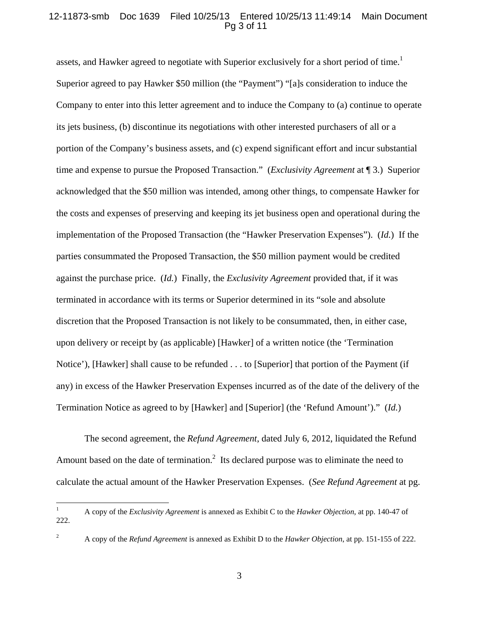# 12-11873-smb Doc 1639 Filed 10/25/13 Entered 10/25/13 11:49:14 Main Document Pg 3 of 11

assets, and Hawker agreed to negotiate with Superior exclusively for a short period of time.<sup>1</sup> Superior agreed to pay Hawker \$50 million (the "Payment") "[a]s consideration to induce the Company to enter into this letter agreement and to induce the Company to (a) continue to operate its jets business, (b) discontinue its negotiations with other interested purchasers of all or a portion of the Company's business assets, and (c) expend significant effort and incur substantial time and expense to pursue the Proposed Transaction." (*Exclusivity Agreement* at ¶ 3.) Superior acknowledged that the \$50 million was intended, among other things, to compensate Hawker for the costs and expenses of preserving and keeping its jet business open and operational during the implementation of the Proposed Transaction (the "Hawker Preservation Expenses"). (*Id.*) If the parties consummated the Proposed Transaction, the \$50 million payment would be credited against the purchase price. (*Id.*) Finally, the *Exclusivity Agreement* provided that, if it was terminated in accordance with its terms or Superior determined in its "sole and absolute discretion that the Proposed Transaction is not likely to be consummated, then, in either case, upon delivery or receipt by (as applicable) [Hawker] of a written notice (the 'Termination Notice'), [Hawker] shall cause to be refunded . . . to [Superior] that portion of the Payment (if any) in excess of the Hawker Preservation Expenses incurred as of the date of the delivery of the Termination Notice as agreed to by [Hawker] and [Superior] (the 'Refund Amount')." (*Id.*)

 The second agreement, the *Refund Agreement*, dated July 6, 2012, liquidated the Refund Amount based on the date of termination.<sup>2</sup> Its declared purpose was to eliminate the need to calculate the actual amount of the Hawker Preservation Expenses. (*See Refund Agreement* at pg.

 $\frac{1}{1}$  A copy of the *Exclusivity Agreement* is annexed as Exhibit C to the *Hawker Objection*, at pp. 140-47 of 222.

A copy of the *Refund Agreement* is annexed as Exhibit D to the *Hawker Objection*, at pp. 151-155 of 222.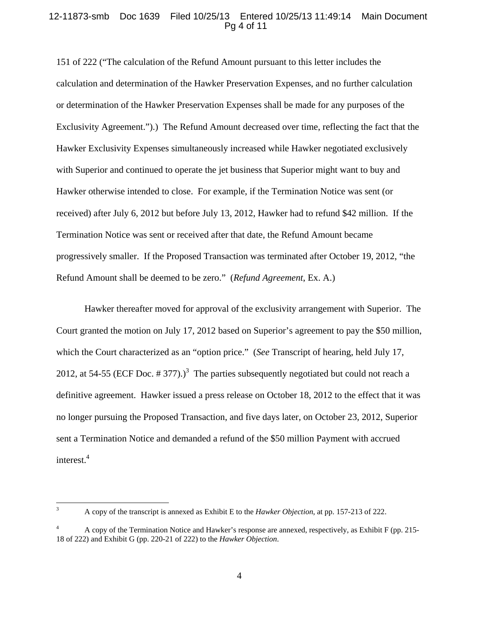# 12-11873-smb Doc 1639 Filed 10/25/13 Entered 10/25/13 11:49:14 Main Document Pg 4 of 11

151 of 222 ("The calculation of the Refund Amount pursuant to this letter includes the calculation and determination of the Hawker Preservation Expenses, and no further calculation or determination of the Hawker Preservation Expenses shall be made for any purposes of the Exclusivity Agreement.").) The Refund Amount decreased over time, reflecting the fact that the Hawker Exclusivity Expenses simultaneously increased while Hawker negotiated exclusively with Superior and continued to operate the jet business that Superior might want to buy and Hawker otherwise intended to close. For example, if the Termination Notice was sent (or received) after July 6, 2012 but before July 13, 2012, Hawker had to refund \$42 million. If the Termination Notice was sent or received after that date, the Refund Amount became progressively smaller. If the Proposed Transaction was terminated after October 19, 2012, "the Refund Amount shall be deemed to be zero." (*Refund Agreement*, Ex. A.)

Hawker thereafter moved for approval of the exclusivity arrangement with Superior. The Court granted the motion on July 17, 2012 based on Superior's agreement to pay the \$50 million, which the Court characterized as an "option price." (*See* Transcript of hearing, held July 17, 2012, at 54-55 (ECF Doc. # 377).)<sup>3</sup> The parties subsequently negotiated but could not reach a definitive agreement. Hawker issued a press release on October 18, 2012 to the effect that it was no longer pursuing the Proposed Transaction, and five days later, on October 23, 2012, Superior sent a Termination Notice and demanded a refund of the \$50 million Payment with accrued interest.<sup>4</sup>

 $\frac{1}{3}$ 

A copy of the transcript is annexed as Exhibit E to the *Hawker Objection*, at pp. 157-213 of 222.

<sup>4</sup> A copy of the Termination Notice and Hawker's response are annexed, respectively, as Exhibit F (pp. 215- 18 of 222) and Exhibit G (pp. 220-21 of 222) to the *Hawker Objection*.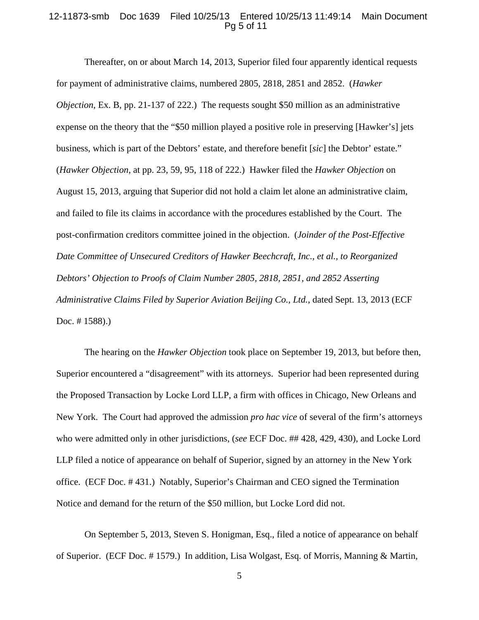### 12-11873-smb Doc 1639 Filed 10/25/13 Entered 10/25/13 11:49:14 Main Document Pg 5 of 11

 Thereafter, on or about March 14, 2013, Superior filed four apparently identical requests for payment of administrative claims, numbered 2805, 2818, 2851 and 2852. (*Hawker Objection*, Ex. B, pp. 21-137 of 222.) The requests sought \$50 million as an administrative expense on the theory that the "\$50 million played a positive role in preserving [Hawker's] jets business, which is part of the Debtors' estate, and therefore benefit [*sic*] the Debtor' estate." (*Hawker Objection*, at pp. 23, 59, 95, 118 of 222.) Hawker filed the *Hawker Objection* on August 15, 2013, arguing that Superior did not hold a claim let alone an administrative claim, and failed to file its claims in accordance with the procedures established by the Court. The post-confirmation creditors committee joined in the objection. (*Joinder of the Post-Effective Date Committee of Unsecured Creditors of Hawker Beechcraft, Inc., et al., to Reorganized Debtors' Objection to Proofs of Claim Number 2805, 2818, 2851, and 2852 Asserting Administrative Claims Filed by Superior Aviation Beijing Co., Ltd.*, dated Sept. 13, 2013 (ECF Doc. # 1588).)

 The hearing on the *Hawker Objection* took place on September 19, 2013, but before then, Superior encountered a "disagreement" with its attorneys. Superior had been represented during the Proposed Transaction by Locke Lord LLP, a firm with offices in Chicago, New Orleans and New York. The Court had approved the admission *pro hac vice* of several of the firm's attorneys who were admitted only in other jurisdictions, (*see* ECF Doc. ## 428, 429, 430), and Locke Lord LLP filed a notice of appearance on behalf of Superior, signed by an attorney in the New York office. (ECF Doc. # 431.) Notably, Superior's Chairman and CEO signed the Termination Notice and demand for the return of the \$50 million, but Locke Lord did not.

 On September 5, 2013, Steven S. Honigman, Esq., filed a notice of appearance on behalf of Superior. (ECF Doc. # 1579.) In addition, Lisa Wolgast, Esq. of Morris, Manning & Martin,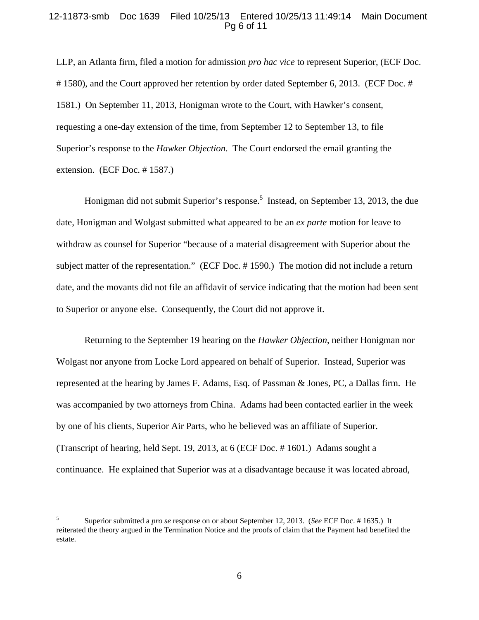# 12-11873-smb Doc 1639 Filed 10/25/13 Entered 10/25/13 11:49:14 Main Document Pg 6 of 11

LLP, an Atlanta firm, filed a motion for admission *pro hac vice* to represent Superior, (ECF Doc. # 1580), and the Court approved her retention by order dated September 6, 2013. (ECF Doc. # 1581.) On September 11, 2013, Honigman wrote to the Court, with Hawker's consent, requesting a one-day extension of the time, from September 12 to September 13, to file Superior's response to the *Hawker Objection*. The Court endorsed the email granting the extension. (ECF Doc. # 1587.)

Honigman did not submit Superior's response.<sup>5</sup> Instead, on September 13, 2013, the due date, Honigman and Wolgast submitted what appeared to be an *ex parte* motion for leave to withdraw as counsel for Superior "because of a material disagreement with Superior about the subject matter of the representation." (ECF Doc. # 1590.) The motion did not include a return date, and the movants did not file an affidavit of service indicating that the motion had been sent to Superior or anyone else. Consequently, the Court did not approve it.

 Returning to the September 19 hearing on the *Hawker Objection*, neither Honigman nor Wolgast nor anyone from Locke Lord appeared on behalf of Superior. Instead, Superior was represented at the hearing by James F. Adams, Esq. of Passman & Jones, PC, a Dallas firm. He was accompanied by two attorneys from China. Adams had been contacted earlier in the week by one of his clients, Superior Air Parts, who he believed was an affiliate of Superior. (Transcript of hearing, held Sept. 19, 2013, at 6 (ECF Doc. # 1601.) Adams sought a continuance. He explained that Superior was at a disadvantage because it was located abroad,

 $\overline{a}$ 

<sup>5</sup> Superior submitted a *pro se* response on or about September 12, 2013. (*See* ECF Doc. # 1635.) It reiterated the theory argued in the Termination Notice and the proofs of claim that the Payment had benefited the estate.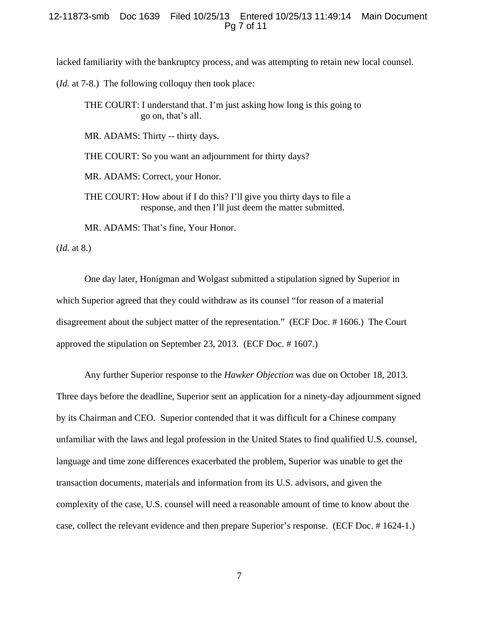### 12-11873-smb Doc 1639 Filed 10/25/13 Entered 10/25/13 11:49:14 Main Document Pg 7 of 11

lacked familiarity with the bankruptcy process, and was attempting to retain new local counsel.

- (*Id.* at 7-8.) The following colloquy then took place:
	- THE COURT: I understand that. I'm just asking how long is this going to go on, that's all.

MR. ADAMS: Thirty -- thirty days.

THE COURT: So you want an adjournment for thirty days?

MR. ADAMS: Correct, your Honor.

THE COURT: How about if I do this? I'll give you thirty days to file a response, and then I'll just deem the matter submitted.

MR. ADAMS: That's fine, Your Honor.

(*Id.* at 8.)

 One day later, Honigman and Wolgast submitted a stipulation signed by Superior in which Superior agreed that they could withdraw as its counsel "for reason of a material disagreement about the subject matter of the representation." (ECF Doc. # 1606.) The Court approved the stipulation on September 23, 2013. (ECF Doc. # 1607.)

 Any further Superior response to the *Hawker Objection* was due on October 18, 2013. Three days before the deadline, Superior sent an application for a ninety-day adjournment signed by its Chairman and CEO. Superior contended that it was difficult for a Chinese company unfamiliar with the laws and legal profession in the United States to find qualified U.S. counsel, language and time zone differences exacerbated the problem, Superior was unable to get the transaction documents, materials and information from its U.S. advisors, and given the complexity of the case, U.S. counsel will need a reasonable amount of time to know about the case, collect the relevant evidence and then prepare Superior's response. (ECF Doc. # 1624-1.)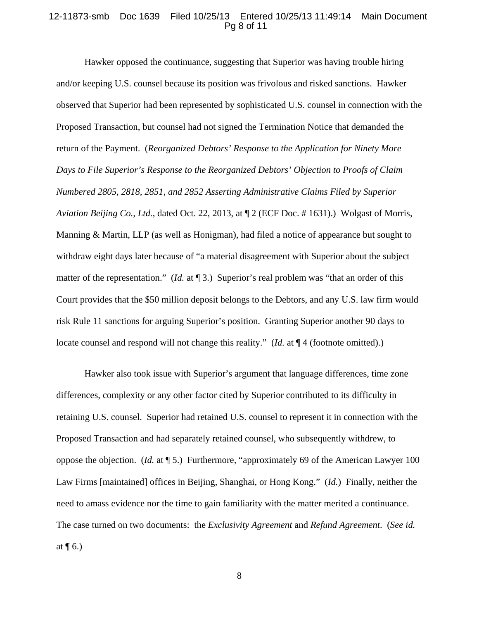#### 12-11873-smb Doc 1639 Filed 10/25/13 Entered 10/25/13 11:49:14 Main Document Pg 8 of 11

 Hawker opposed the continuance, suggesting that Superior was having trouble hiring and/or keeping U.S. counsel because its position was frivolous and risked sanctions. Hawker observed that Superior had been represented by sophisticated U.S. counsel in connection with the Proposed Transaction, but counsel had not signed the Termination Notice that demanded the return of the Payment. (*Reorganized Debtors' Response to the Application for Ninety More Days to File Superior's Response to the Reorganized Debtors' Objection to Proofs of Claim Numbered 2805, 2818, 2851, and 2852 Asserting Administrative Claims Filed by Superior Aviation Beijing Co., Ltd.*, dated Oct. 22, 2013, at ¶ 2 (ECF Doc. # 1631).) Wolgast of Morris, Manning & Martin, LLP (as well as Honigman), had filed a notice of appearance but sought to withdraw eight days later because of "a material disagreement with Superior about the subject matter of the representation." (*Id.* at 13.) Superior's real problem was "that an order of this Court provides that the \$50 million deposit belongs to the Debtors, and any U.S. law firm would risk Rule 11 sanctions for arguing Superior's position. Granting Superior another 90 days to locate counsel and respond will not change this reality." (*Id.* at  $\P$  4 (footnote omitted).)

 Hawker also took issue with Superior's argument that language differences, time zone differences, complexity or any other factor cited by Superior contributed to its difficulty in retaining U.S. counsel. Superior had retained U.S. counsel to represent it in connection with the Proposed Transaction and had separately retained counsel, who subsequently withdrew, to oppose the objection. (*Id.* at ¶ 5.) Furthermore, "approximately 69 of the American Lawyer 100 Law Firms [maintained] offices in Beijing, Shanghai, or Hong Kong." (*Id.*) Finally, neither the need to amass evidence nor the time to gain familiarity with the matter merited a continuance. The case turned on two documents: the *Exclusivity Agreement* and *Refund Agreement*. (*See id.* at  $\P$  6.)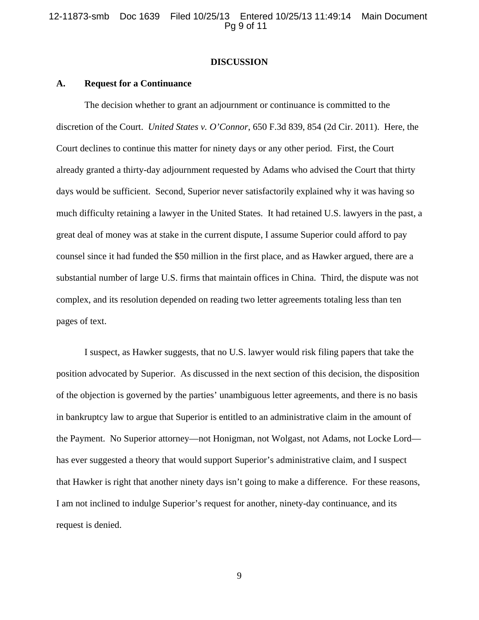12-11873-smb Doc 1639 Filed 10/25/13 Entered 10/25/13 11:49:14 Main Document Pg 9 of 11

### **DISCUSSION**

#### **A. Request for a Continuance**

 The decision whether to grant an adjournment or continuance is committed to the discretion of the Court. *United States v. O'Connor*, 650 F.3d 839, 854 (2d Cir. 2011). Here, the Court declines to continue this matter for ninety days or any other period. First, the Court already granted a thirty-day adjournment requested by Adams who advised the Court that thirty days would be sufficient. Second, Superior never satisfactorily explained why it was having so much difficulty retaining a lawyer in the United States. It had retained U.S. lawyers in the past, a great deal of money was at stake in the current dispute, I assume Superior could afford to pay counsel since it had funded the \$50 million in the first place, and as Hawker argued, there are a substantial number of large U.S. firms that maintain offices in China. Third, the dispute was not complex, and its resolution depended on reading two letter agreements totaling less than ten pages of text.

 I suspect, as Hawker suggests, that no U.S. lawyer would risk filing papers that take the position advocated by Superior. As discussed in the next section of this decision, the disposition of the objection is governed by the parties' unambiguous letter agreements, and there is no basis in bankruptcy law to argue that Superior is entitled to an administrative claim in the amount of the Payment. No Superior attorney—not Honigman, not Wolgast, not Adams, not Locke Lord has ever suggested a theory that would support Superior's administrative claim, and I suspect that Hawker is right that another ninety days isn't going to make a difference. For these reasons, I am not inclined to indulge Superior's request for another, ninety-day continuance, and its request is denied.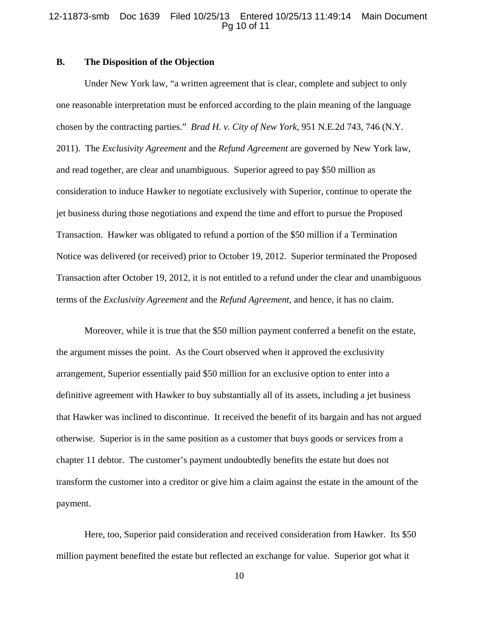### 12-11873-smb Doc 1639 Filed 10/25/13 Entered 10/25/13 11:49:14 Main Document Pg 10 of 11

# **B. The Disposition of the Objection**

 Under New York law, "a written agreement that is clear, complete and subject to only one reasonable interpretation must be enforced according to the plain meaning of the language chosen by the contracting parties." *Brad H. v. City of New York*, 951 N.E.2d 743, 746 (N.Y. 2011). The *Exclusivity Agreement* and the *Refund Agreement* are governed by New York law, and read together, are clear and unambiguous. Superior agreed to pay \$50 million as consideration to induce Hawker to negotiate exclusively with Superior, continue to operate the jet business during those negotiations and expend the time and effort to pursue the Proposed Transaction. Hawker was obligated to refund a portion of the \$50 million if a Termination Notice was delivered (or received) prior to October 19, 2012. Superior terminated the Proposed Transaction after October 19, 2012, it is not entitled to a refund under the clear and unambiguous terms of the *Exclusivity Agreement* and the *Refund Agreement*, and hence, it has no claim.

 Moreover, while it is true that the \$50 million payment conferred a benefit on the estate, the argument misses the point. As the Court observed when it approved the exclusivity arrangement, Superior essentially paid \$50 million for an exclusive option to enter into a definitive agreement with Hawker to buy substantially all of its assets, including a jet business that Hawker was inclined to discontinue. It received the benefit of its bargain and has not argued otherwise. Superior is in the same position as a customer that buys goods or services from a chapter 11 debtor. The customer's payment undoubtedly benefits the estate but does not transform the customer into a creditor or give him a claim against the estate in the amount of the payment.

 Here, too, Superior paid consideration and received consideration from Hawker. Its \$50 million payment benefited the estate but reflected an exchange for value. Superior got what it